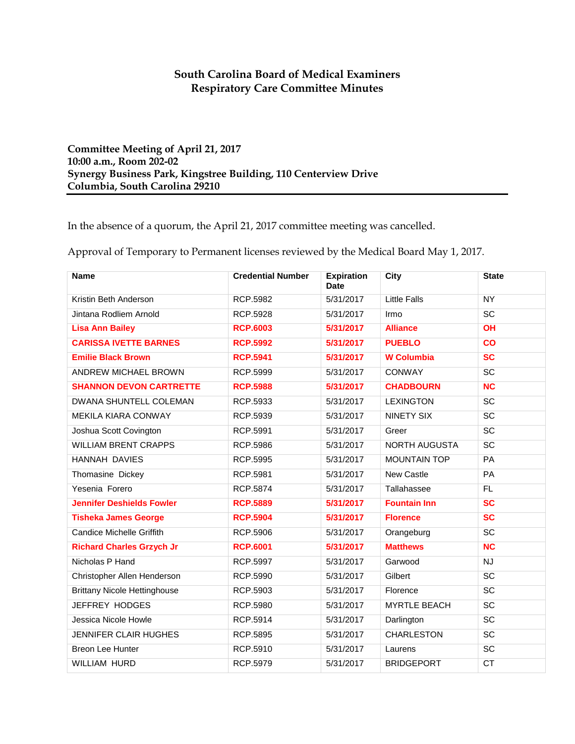## **South Carolina Board of Medical Examiners Respiratory Care Committee Minutes**

**Committee Meeting of April 21, 2017 10:00 a.m., Room 202-02 Synergy Business Park, Kingstree Building, 110 Centerview Drive Columbia, South Carolina 29210**

In the absence of a quorum, the April 21, 2017 committee meeting was cancelled.

Approval of Temporary to Permanent licenses reviewed by the Medical Board May 1, 2017.

| <b>Name</b>                         | <b>Credential Number</b> | <b>Expiration</b><br><b>Date</b> | City                 | <b>State</b>           |
|-------------------------------------|--------------------------|----------------------------------|----------------------|------------------------|
| Kristin Beth Anderson               | RCP.5982                 | 5/31/2017                        | <b>Little Falls</b>  | <b>NY</b>              |
| Jintana Rodliem Arnold              | <b>RCP.5928</b>          | 5/31/2017                        | Irmo                 | SC                     |
| <b>Lisa Ann Bailey</b>              | <b>RCP.6003</b>          | 5/31/2017                        | <b>Alliance</b>      | OH                     |
| <b>CARISSA IVETTE BARNES</b>        | <b>RCP.5992</b>          | 5/31/2017                        | <b>PUEBLO</b>        | $\overline{\text{co}}$ |
| <b>Emilie Black Brown</b>           | <b>RCP.5941</b>          | 5/31/2017                        | <b>W</b> Columbia    | <b>SC</b>              |
| ANDREW MICHAEL BROWN                | RCP.5999                 | 5/31/2017                        | CONWAY               | SC                     |
| <b>SHANNON DEVON CARTRETTE</b>      | <b>RCP.5988</b>          | 5/31/2017                        | <b>CHADBOURN</b>     | <b>NC</b>              |
| DWANA SHUNTELL COLEMAN              | RCP.5933                 | 5/31/2017                        | <b>LEXINGTON</b>     | SC                     |
| MEKILA KIARA CONWAY                 | RCP.5939                 | 5/31/2017                        | NINETY SIX           | SC                     |
| Joshua Scott Covington              | RCP.5991                 | 5/31/2017                        | Greer                | SC                     |
| <b>WILLIAM BRENT CRAPPS</b>         | RCP.5986                 | 5/31/2017                        | <b>NORTH AUGUSTA</b> | SC                     |
| HANNAH DAVIES                       | RCP.5995                 | 5/31/2017                        | <b>MOUNTAIN TOP</b>  | PA                     |
| Thomasine Dickey                    | RCP.5981                 | 5/31/2017                        | <b>New Castle</b>    | PA                     |
| Yesenia Forero                      | RCP.5874                 | 5/31/2017                        | Tallahassee          | FL.                    |
| <b>Jennifer Deshields Fowler</b>    | <b>RCP.5889</b>          | 5/31/2017                        | <b>Fountain Inn</b>  | SC                     |
| <b>Tisheka James George</b>         | <b>RCP.5904</b>          | 5/31/2017                        | <b>Florence</b>      | SC                     |
| <b>Candice Michelle Griffith</b>    | RCP.5906                 | 5/31/2017                        | Orangeburg           | SC                     |
| <b>Richard Charles Grzych Jr</b>    | <b>RCP.6001</b>          | 5/31/2017                        | <b>Matthews</b>      | <b>NC</b>              |
| Nicholas P Hand                     | RCP.5997                 | 5/31/2017                        | Garwood              | <b>NJ</b>              |
| Christopher Allen Henderson         | RCP.5990                 | 5/31/2017                        | Gilbert              | SC                     |
| <b>Brittany Nicole Hettinghouse</b> | RCP.5903                 | 5/31/2017                        | Florence             | SC                     |
| JEFFREY HODGES                      | RCP.5980                 | 5/31/2017                        | <b>MYRTLE BEACH</b>  | SC                     |
| Jessica Nicole Howle                | RCP.5914                 | 5/31/2017                        | Darlington           | SC                     |
| JENNIFER CLAIR HUGHES               | RCP.5895                 | 5/31/2017                        | <b>CHARLESTON</b>    | SC                     |
| <b>Breon Lee Hunter</b>             | RCP.5910                 | 5/31/2017                        | Laurens              | SC                     |
| <b>WILLIAM HURD</b>                 | RCP.5979                 | 5/31/2017                        | <b>BRIDGEPORT</b>    | CT                     |